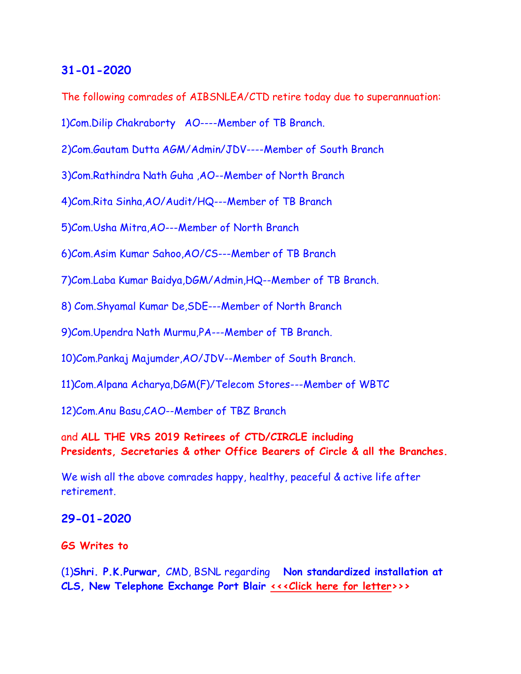#### **31-01-2020**

The following comrades of AIBSNLEA/CTD retire today due to superannuation:

1)Com.Dilip Chakraborty AO----Member of TB Branch.

2)Com.Gautam Dutta AGM/Admin/JDV----Member of South Branch

3)Com.Rathindra Nath Guha ,AO--Member of North Branch

4)Com.Rita Sinha,AO/Audit/HQ---Member of TB Branch

5)Com.Usha Mitra,AO---Member of North Branch

6)Com.Asim Kumar Sahoo,AO/CS---Member of TB Branch

7)Com.Laba Kumar Baidya,DGM/Admin,HQ--Member of TB Branch.

8) Com.Shyamal Kumar De,SDE---Member of North Branch

9)Com.Upendra Nath Murmu,PA---Member of TB Branch.

10)Com.Pankaj Majumder,AO/JDV--Member of South Branch.

11)Com.Alpana Acharya,DGM(F)/Telecom Stores---Member of WBTC

12)Com.Anu Basu,CAO--Member of TBZ Branch

and **ALL THE VRS 2019 Retirees of CTD/CIRCLE including Presidents, Secretaries & other Office Bearers of Circle & all the Branches.**

We wish all the above comrades happy, healthy, peaceful & active life after retirement.

#### **29-01-2020**

#### **GS Writes to**

(1)**Shri. P.K.Purwar,** CMD, BSNL regarding **Non standardized installation at CLS, New Telephone Exchange Port Blair [<<<Click here for](http://www.aibsnleachq.in/CMD_200129.pdf) [letter>](http://www.aibsnleachq.in/CMD_200129.pdf)>>**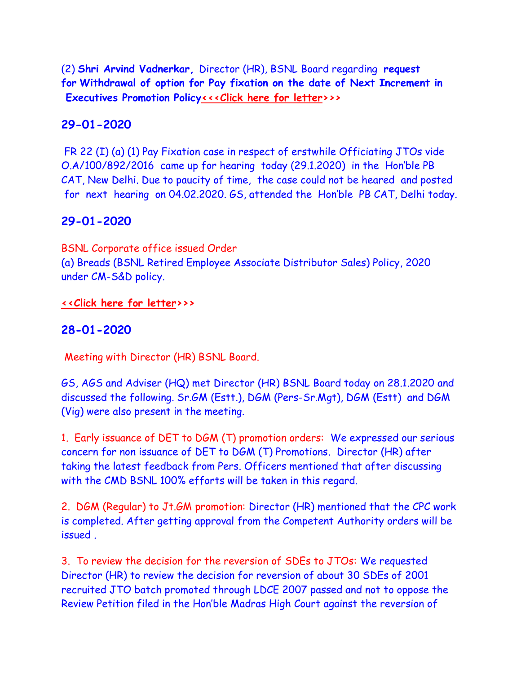(2) **Shri Arvind Vadnerkar,** Director (HR), BSNL Board regarding **request for Withdrawal of option for Pay fixation on the date of Next Increment in Executives Promotion Polic[y<<<Click here for](http://www.aibsnleachq.in/DIRHR_200129.pdf) letter>>>**

### **29-01-2020**

FR 22 (I) (a) (1) Pay Fixation case in respect of erstwhile Officiating JTOs vide O.A/100/892/2016 came up for hearing today (29.1.2020) in the Hon'ble PB CAT, New Delhi. Due to paucity of time, the case could not be heared and posted for next hearing on 04.02.2020. GS, attended the Hon'ble PB CAT, Delhi today.

### **29-01-2020**

BSNL Corporate office issued Order (a) Breads (BSNL Retired Employee Associate Distributor Sales) Policy, 2020 under CM-S&D policy.

#### **[<<Click here for](http://www.aibsnleachq.in/BREADS%20Policy.pdf) [letter>](http://www.aibsnleachq.in/BREADS%20Policy.pdf)>>**

### **28-01-2020**

Meeting with Director (HR) BSNL Board.

GS, AGS and Adviser (HQ) met Director (HR) BSNL Board today on 28.1.2020 and discussed the following. Sr.GM (Estt.), DGM (Pers-Sr.Mgt), DGM (Estt) and DGM (Vig) were also present in the meeting.

1. Early issuance of DET to DGM (T) promotion orders: We expressed our serious concern for non issuance of DET to DGM (T) Promotions. Director (HR) after taking the latest feedback from Pers. Officers mentioned that after discussing with the CMD BSNL 100% efforts will be taken in this regard.

2. DGM (Regular) to Jt.GM promotion: Director (HR) mentioned that the CPC work is completed. After getting approval from the Competent Authority orders will be issued .

3. To review the decision for the reversion of SDEs to JTOs: We requested Director (HR) to review the decision for reversion of about 30 SDEs of 2001 recruited JTO batch promoted through LDCE 2007 passed and not to oppose the Review Petition filed in the Hon'ble Madras High Court against the reversion of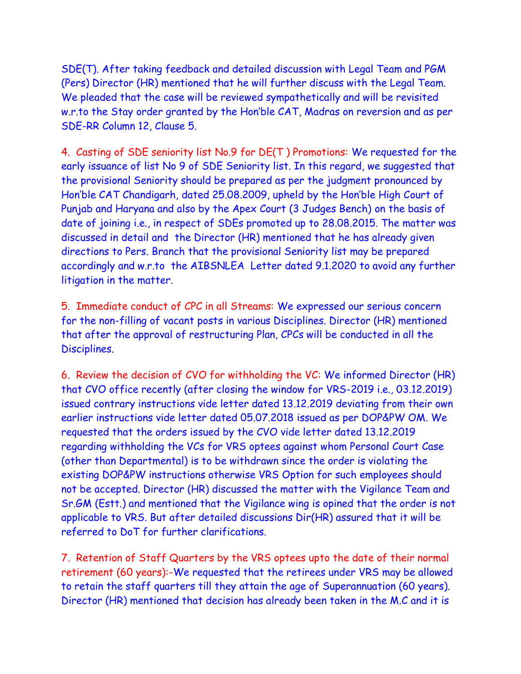SDE(T). After taking feedback and detailed discussion with Legal Team and PGM (Pers) Director (HR) mentioned that he will further discuss with the Legal Team. We pleaded that the case will be reviewed sympathetically and will be revisited w.r.to the Stay order granted by the Hon'ble CAT, Madras on reversion and as per SDE-RR Column 12, Clause 5.

4. Casting of SDE seniority list No.9 for DE(T ) Promotions: We requested for the early issuance of list No 9 of SDE Seniority list. In this regard, we suggested that the provisional Seniority should be prepared as per the judgment pronounced by Hon'ble CAT Chandigarh, dated 25.08.2009, upheld by the Hon'ble High Court of Punjab and Haryana and also by the Apex Court (3 Judges Bench) on the basis of date of joining i.e., in respect of SDEs promoted up to 28.08.2015. The matter was discussed in detail and the Director (HR) mentioned that he has already given directions to Pers. Branch that the provisional Seniority list may be prepared accordingly and w.r.to the AIBSNLEA Letter dated 9.1.2020 to avoid any further litigation in the matter.

5. Immediate conduct of CPC in all Streams: We expressed our serious concern for the non-filling of vacant posts in various Disciplines. Director (HR) mentioned that after the approval of restructuring Plan, CPCs will be conducted in all the Disciplines.

6. Review the decision of CVO for withholding the VC: We informed Director (HR) that CVO office recently (after closing the window for VRS-2019 i.e., 03.12.2019) issued contrary instructions vide letter dated 13.12.2019 deviating from their own earlier instructions vide letter dated 05.07.2018 issued as per DOP&PW OM. We requested that the orders issued by the CVO vide letter dated 13.12.2019 regarding withholding the VCs for VRS optees against whom Personal Court Case (other than Departmental) is to be withdrawn since the order is violating the existing DOP&PW instructions otherwise VRS Option for such employees should not be accepted. Director (HR) discussed the matter with the Vigilance Team and Sr.GM (Estt.) and mentioned that the Vigilance wing is opined that the order is not applicable to VRS. But after detailed discussions Dir(HR) assured that it will be referred to DoT for further clarifications.

7. Retention of Staff Quarters by the VRS optees upto the date of their normal retirement (60 years):-We requested that the retirees under VRS may be allowed to retain the staff quarters till they attain the age of Superannuation (60 years). Director (HR) mentioned that decision has already been taken in the M.C and it is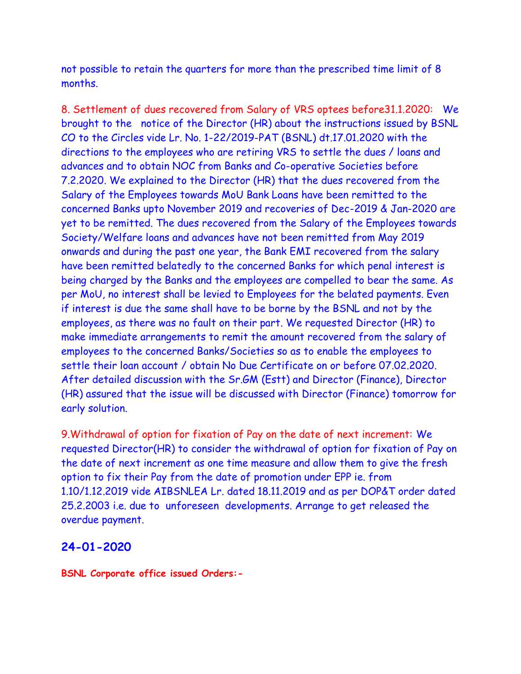not possible to retain the quarters for more than the prescribed time limit of 8 months.

8. Settlement of dues recovered from Salary of VRS optees before31.1.2020: We brought to the notice of the Director (HR) about the instructions issued by BSNL CO to the Circles vide Lr. No. 1-22/2019-PAT (BSNL) dt.17.01.2020 with the directions to the employees who are retiring VRS to settle the dues / loans and advances and to obtain NOC from Banks and Co-operative Societies before 7.2.2020. We explained to the Director (HR) that the dues recovered from the Salary of the Employees towards MoU Bank Loans have been remitted to the concerned Banks upto November 2019 and recoveries of Dec-2019 & Jan-2020 are yet to be remitted. The dues recovered from the Salary of the Employees towards Society/Welfare loans and advances have not been remitted from May 2019 onwards and during the past one year, the Bank EMI recovered from the salary have been remitted belatedly to the concerned Banks for which penal interest is being charged by the Banks and the employees are compelled to bear the same. As per MoU, no interest shall be levied to Employees for the belated payments. Even if interest is due the same shall have to be borne by the BSNL and not by the employees, as there was no fault on their part. We requested Director (HR) to make immediate arrangements to remit the amount recovered from the salary of employees to the concerned Banks/Societies so as to enable the employees to settle their loan account / obtain No Due Certificate on or before 07.02.2020. After detailed discussion with the Sr.GM (Estt) and Director (Finance), Director (HR) assured that the issue will be discussed with Director (Finance) tomorrow for early solution.

9.Withdrawal of option for fixation of Pay on the date of next increment: We requested Director(HR) to consider the withdrawal of option for fixation of Pay on the date of next increment as one time measure and allow them to give the fresh option to fix their Pay from the date of promotion under EPP ie. from 1.10/1.12.2019 vide AIBSNLEA Lr. dated 18.11.2019 and as per DOP&T order dated 25.2.2003 i.e. due to unforeseen developments. Arrange to get released the overdue payment.

#### **24-01-2020**

**BSNL Corporate office issued Orders:-**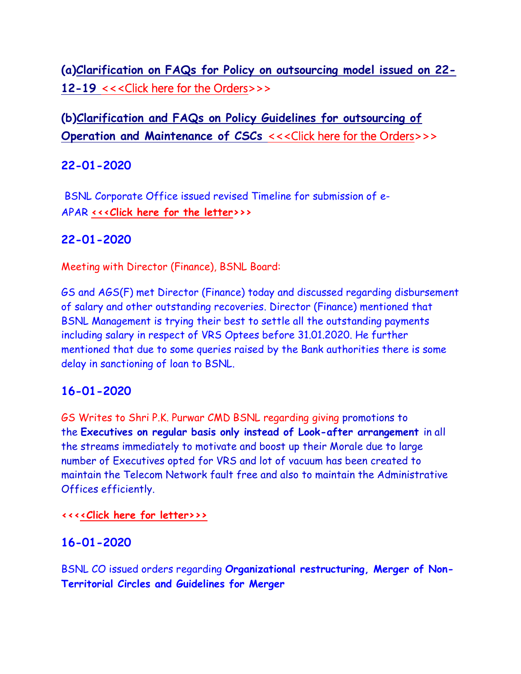**(a[\)Clarification](http://www.sneaindia.com/current_events/Clarification%20on%20FAQs%20for%20Policy%20on%20outsourcing%20model%20issued%20on%2022-12-19%20reg%20%2022-01-20.pdf) [on FAQs for Policy on outsourcing model issued on 22-](http://www.sneaindia.com/current_events/Clarification%20on%20FAQs%20for%20Policy%20on%20outsourcing%20model%20issued%20on%2022-12-19%20reg%20%2022-01-20.pdf) [12-19](http://www.sneaindia.com/current_events/Clarification%20on%20FAQs%20for%20Policy%20on%20outsourcing%20model%20issued%20on%2022-12-19%20reg%20%2022-01-20.pdf)** [<<<Click here for the Orders>](http://www.sneaindia.com/current_events/Clarification%20on%20FAQs%20for%20Policy%20on%20outsourcing%20model%20issued%20on%2022-12-19%20reg%20%2022-01-20.pdf)>>

# **(b[\)Clarification](http://www.sneaindia.com/current_events/Clarification%20and%20FAQs%20on%20Policy%20Guidelines%20for%20outsourcing%20of%20Operation%20and%20Maintenance%20of%20CSCs%20reg%2022-01-2020.pdf) [and FAQs on Policy Guidelines for outsourcing of](http://www.sneaindia.com/current_events/Clarification%20and%20FAQs%20on%20Policy%20Guidelines%20for%20outsourcing%20of%20Operation%20and%20Maintenance%20of%20CSCs%20reg%2022-01-2020.pdf)  [Operation and Maintenance of CSCs](http://www.sneaindia.com/current_events/Clarification%20and%20FAQs%20on%20Policy%20Guidelines%20for%20outsourcing%20of%20Operation%20and%20Maintenance%20of%20CSCs%20reg%2022-01-2020.pdf) [<<<Click here for the Orders>](http://www.sneaindia.com/current_events/Clarification%20and%20FAQs%20on%20Policy%20Guidelines%20for%20outsourcing%20of%20Operation%20and%20Maintenance%20of%20CSCs%20reg%2022-01-2020.pdf)>>**

# **22-01-2020**

BSNL Corporate Office issued revised Timeline for submission of e-APAR **[<<<Click here for the letter>](http://www.aibsnleachq.in/e-APAR_Revised%20timeline.pdf)>>**

# **22-01-2020**

Meeting with Director (Finance), BSNL Board:

GS and AGS(F) met Director (Finance) today and discussed regarding disbursement of salary and other outstanding recoveries. Director (Finance) mentioned that BSNL Management is trying their best to settle all the outstanding payments including salary in respect of VRS Optees before 31.01.2020. He further mentioned that due to some queries raised by the Bank authorities there is some delay in sanctioning of loan to BSNL.

# **16-01-2020**

GS Writes to Shri P.K. Purwar CMD BSNL regarding giving promotions to the **Executives on regular basis only instead of Look-after arrangement** in all the streams immediately to motivate and boost up their Morale due to large number of Executives opted for VRS and lot of vacuum has been created to maintain the Telecom Network fault free and also to maintain the Administrative Offices efficiently.

#### **<<[<<Click here for letter>>>](http://www.aibsnleachq.in/Mandatory%20Training.pdf)**

# **16-01-2020**

BSNL CO issued orders regarding **Organizational restructuring, Merger of Non-Territorial Circles and Guidelines for Merger**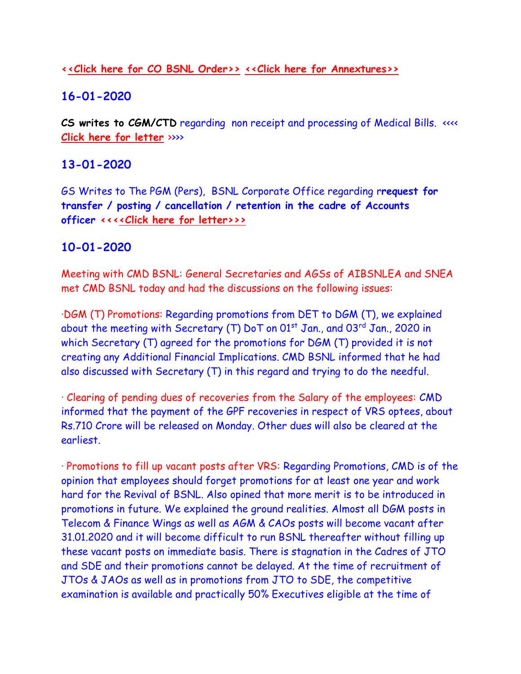### **[<<Click here for CO BSNL Order>>](http://www.aibsnleachq.in/letter14.01.2020.pdf) [<<Click here for Annextures>>](http://www.aibsnleachq.in/ANN.pdf)**

# **16-01-2020**

CS writes to CGM/CTD regarding non receipt and processing of Medical Bills. <<<< **[Click here for letter](CGM_160120.pdf)** >>>>

# **13-01-2020**

GS Writes to The PGM (Pers), BSNL Corporate Office regarding r**request for transfer / posting / cancellation / retention in the cadre of Accounts officer <<[<<Click here for letter>>>](http://www.aibsnleachq.in/Mandatory%20Training.pdf)**

# **10-01-2020**

Meeting with CMD BSNL: General Secretaries and AGSs of AIBSNLEA and SNEA met CMD BSNL today and had the discussions on the following issues:

·DGM (T) Promotions: Regarding promotions from DET to DGM (T), we explained about the meeting with Secretary (T) DoT on  $01<sup>st</sup>$  Jan., and  $03<sup>rd</sup>$  Jan., 2020 in which Secretary (T) agreed for the promotions for DGM (T) provided it is not creating any Additional Financial Implications. CMD BSNL informed that he had also discussed with Secretary (T) in this regard and trying to do the needful.

· Clearing of pending dues of recoveries from the Salary of the employees: CMD informed that the payment of the GPF recoveries in respect of VRS optees, about Rs.710 Crore will be released on Monday. Other dues will also be cleared at the earliest.

· Promotions to fill up vacant posts after VRS: Regarding Promotions, CMD is of the opinion that employees should forget promotions for at least one year and work hard for the Revival of BSNL. Also opined that more merit is to be introduced in promotions in future. We explained the ground realities. Almost all DGM posts in Telecom & Finance Wings as well as AGM & CAOs posts will become vacant after 31.01.2020 and it will become difficult to run BSNL thereafter without filling up these vacant posts on immediate basis. There is stagnation in the Cadres of JTO and SDE and their promotions cannot be delayed. At the time of recruitment of JTOs & JAOs as well as in promotions from JTO to SDE, the competitive examination is available and practically 50% Executives eligible at the time of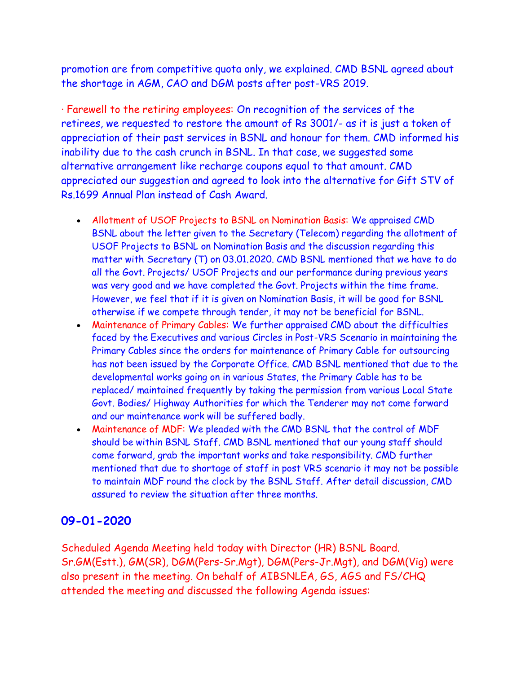promotion are from competitive quota only, we explained. CMD BSNL agreed about the shortage in AGM, CAO and DGM posts after post-VRS 2019.

· Farewell to the retiring employees: On recognition of the services of the retirees, we requested to restore the amount of Rs 3001/- as it is just a token of appreciation of their past services in BSNL and honour for them. CMD informed his inability due to the cash crunch in BSNL. In that case, we suggested some alternative arrangement like recharge coupons equal to that amount. CMD appreciated our suggestion and agreed to look into the alternative for Gift STV of Rs.1699 Annual Plan instead of Cash Award.

- Allotment of USOF Projects to BSNL on Nomination Basis: We appraised CMD BSNL about the letter given to the Secretary (Telecom) regarding the allotment of USOF Projects to BSNL on Nomination Basis and the discussion regarding this matter with Secretary (T) on 03.01.2020. CMD BSNL mentioned that we have to do all the Govt. Projects/ USOF Projects and our performance during previous years was very good and we have completed the Govt. Projects within the time frame. However, we feel that if it is given on Nomination Basis, it will be good for BSNL otherwise if we compete through tender, it may not be beneficial for BSNL.
- Maintenance of Primary Cables: We further appraised CMD about the difficulties faced by the Executives and various Circles in Post-VRS Scenario in maintaining the Primary Cables since the orders for maintenance of Primary Cable for outsourcing has not been issued by the Corporate Office. CMD BSNL mentioned that due to the developmental works going on in various States, the Primary Cable has to be replaced/ maintained frequently by taking the permission from various Local State Govt. Bodies/ Highway Authorities for which the Tenderer may not come forward and our maintenance work will be suffered badly.
- Maintenance of MDF: We pleaded with the CMD BSNL that the control of MDF should be within BSNL Staff. CMD BSNL mentioned that our young staff should come forward, grab the important works and take responsibility. CMD further mentioned that due to shortage of staff in post VRS scenario it may not be possible to maintain MDF round the clock by the BSNL Staff. After detail discussion, CMD assured to review the situation after three months.

# **09-01-2020**

Scheduled Agenda Meeting held today with Director (HR) BSNL Board. Sr.GM(Estt.), GM(SR), DGM(Pers-Sr.Mgt), DGM(Pers-Jr.Mgt), and DGM(Vig) were also present in the meeting. On behalf of AIBSNLEA, GS, AGS and FS/CHQ attended the meeting and discussed the following Agenda issues: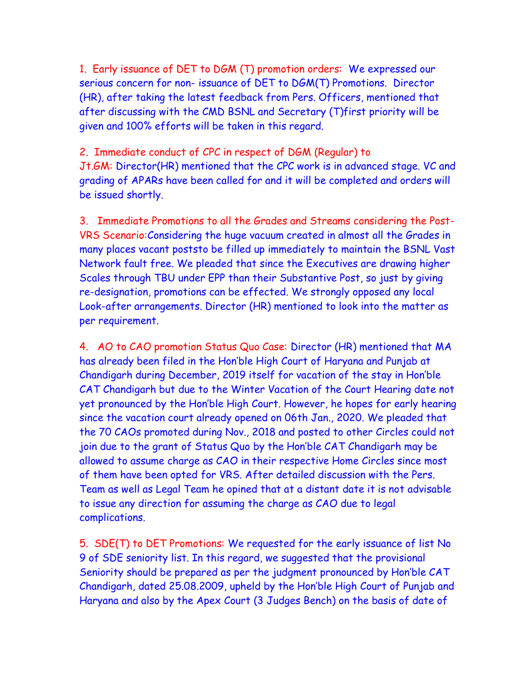1. Early issuance of DET to DGM (T) promotion orders: We expressed our serious concern for non- issuance of DET to DGM(T) Promotions. Director (HR), after taking the latest feedback from Pers. Officers, mentioned that after discussing with the CMD BSNL and Secretary (T)first priority will be given and 100% efforts will be taken in this regard.

2. Immediate conduct of CPC in respect of DGM (Regular) to Jt.GM: Director(HR) mentioned that the CPC work is in advanced stage. VC and grading of APARs have been called for and it will be completed and orders will be issued shortly.

3. Immediate Promotions to all the Grades and Streams considering the Post-VRS Scenario:Considering the huge vacuum created in almost all the Grades in many places vacant poststo be filled up immediately to maintain the BSNL Vast Network fault free. We pleaded that since the Executives are drawing higher Scales through TBU under EPP than their Substantive Post, so just by giving re-designation, promotions can be effected. We strongly opposed any local Look-after arrangements. Director (HR) mentioned to look into the matter as per requirement.

4. AO to CAO promotion Status Quo Case: Director (HR) mentioned that MA has already been filed in the Hon'ble High Court of Haryana and Punjab at Chandigarh during December, 2019 itself for vacation of the stay in Hon'ble CAT Chandigarh but due to the Winter Vacation of the Court Hearing date not yet pronounced by the Hon'ble High Court. However, he hopes for early hearing since the vacation court already opened on 06th Jan., 2020. We pleaded that the 70 CAOs promoted during Nov., 2018 and posted to other Circles could not join due to the grant of Status Quo by the Hon'ble CAT Chandigarh may be allowed to assume charge as CAO in their respective Home Circles since most of them have been opted for VRS. After detailed discussion with the Pers. Team as well as Legal Team he opined that at a distant date it is not advisable to issue any direction for assuming the charge as CAO due to legal complications.

5. SDE(T) to DET Promotions: We requested for the early issuance of list No 9 of SDE seniority list. In this regard, we suggested that the provisional Seniority should be prepared as per the judgment pronounced by Hon'ble CAT Chandigarh, dated 25.08.2009, upheld by the Hon'ble High Court of Punjab and Haryana and also by the Apex Court (3 Judges Bench) on the basis of date of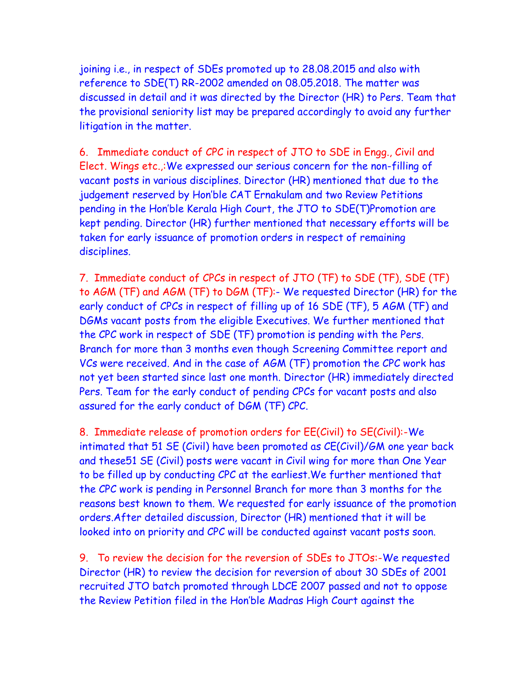joining i.e., in respect of SDEs promoted up to 28.08.2015 and also with reference to SDE(T) RR-2002 amended on 08.05.2018. The matter was discussed in detail and it was directed by the Director (HR) to Pers. Team that the provisional seniority list may be prepared accordingly to avoid any further litigation in the matter.

6. Immediate conduct of CPC in respect of JTO to SDE in Engg., Civil and Elect. Wings etc.,:We expressed our serious concern for the non-filling of vacant posts in various disciplines. Director (HR) mentioned that due to the judgement reserved by Hon'ble CAT Ernakulam and two Review Petitions pending in the Hon'ble Kerala High Court, the JTO to SDE(T)Promotion are kept pending. Director (HR) further mentioned that necessary efforts will be taken for early issuance of promotion orders in respect of remaining disciplines.

7. Immediate conduct of CPCs in respect of JTO (TF) to SDE (TF), SDE (TF) to AGM (TF) and AGM (TF) to DGM (TF):- We requested Director (HR) for the early conduct of CPCs in respect of filling up of 16 SDE (TF), 5 AGM (TF) and DGMs vacant posts from the eligible Executives. We further mentioned that the CPC work in respect of SDE (TF) promotion is pending with the Pers. Branch for more than 3 months even though Screening Committee report and VCs were received. And in the case of AGM (TF) promotion the CPC work has not yet been started since last one month. Director (HR) immediately directed Pers. Team for the early conduct of pending CPCs for vacant posts and also assured for the early conduct of DGM (TF) CPC.

8. Immediate release of promotion orders for EE(Civil) to SE(Civil):-We intimated that 51 SE (Civil) have been promoted as CE(Civil)/GM one year back and these51 SE (Civil) posts were vacant in Civil wing for more than One Year to be filled up by conducting CPC at the earliest.We further mentioned that the CPC work is pending in Personnel Branch for more than 3 months for the reasons best known to them. We requested for early issuance of the promotion orders.After detailed discussion, Director (HR) mentioned that it will be looked into on priority and CPC will be conducted against vacant posts soon.

9. To review the decision for the reversion of SDEs to JTOs:-We requested Director (HR) to review the decision for reversion of about 30 SDEs of 2001 recruited JTO batch promoted through LDCE 2007 passed and not to oppose the Review Petition filed in the Hon'ble Madras High Court against the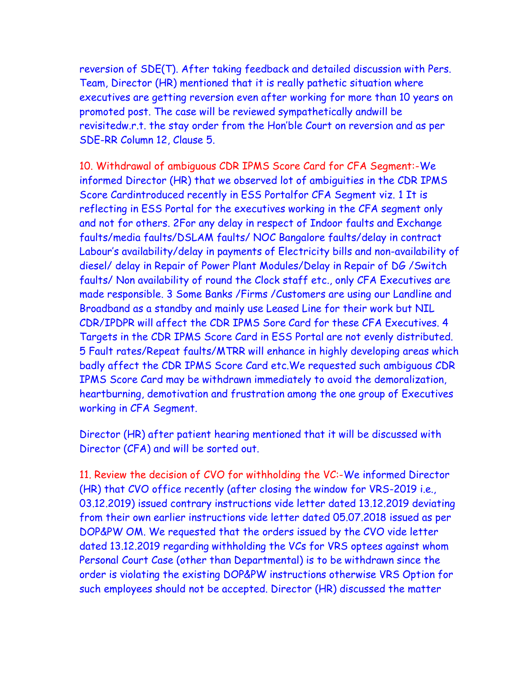reversion of SDE(T). After taking feedback and detailed discussion with Pers. Team, Director (HR) mentioned that it is really pathetic situation where executives are getting reversion even after working for more than 10 years on promoted post. The case will be reviewed sympathetically andwill be revisitedw.r.t. the stay order from the Hon'ble Court on reversion and as per SDE-RR Column 12, Clause 5.

10. Withdrawal of ambiguous CDR IPMS Score Card for CFA Segment:-We informed Director (HR) that we observed lot of ambiguities in the CDR IPMS Score Cardintroduced recently in ESS Portalfor CFA Segment viz. 1 It is reflecting in ESS Portal for the executives working in the CFA segment only and not for others. 2For any delay in respect of Indoor faults and Exchange faults/media faults/DSLAM faults/ NOC Bangalore faults/delay in contract Labour's availability/delay in payments of Electricity bills and non-availability of diesel/ delay in Repair of Power Plant Modules/Delay in Repair of DG /Switch faults/ Non availability of round the Clock staff etc., only CFA Executives are made responsible. 3 Some Banks /Firms /Customers are using our Landline and Broadband as a standby and mainly use Leased Line for their work but NIL CDR/IPDPR will affect the CDR IPMS Sore Card for these CFA Executives. 4 Targets in the CDR IPMS Score Card in ESS Portal are not evenly distributed. 5 Fault rates/Repeat faults/MTRR will enhance in highly developing areas which badly affect the CDR IPMS Score Card etc.We requested such ambiguous CDR IPMS Score Card may be withdrawn immediately to avoid the demoralization, heartburning, demotivation and frustration among the one group of Executives working in CFA Segment.

Director (HR) after patient hearing mentioned that it will be discussed with Director (CFA) and will be sorted out.

11. Review the decision of CVO for withholding the VC:-We informed Director (HR) that CVO office recently (after closing the window for VRS-2019 i.e., 03.12.2019) issued contrary instructions vide letter dated 13.12.2019 deviating from their own earlier instructions vide letter dated 05.07.2018 issued as per DOP&PW OM. We requested that the orders issued by the CVO vide letter dated 13.12.2019 regarding withholding the VCs for VRS optees against whom Personal Court Case (other than Departmental) is to be withdrawn since the order is violating the existing DOP&PW instructions otherwise VRS Option for such employees should not be accepted. Director (HR) discussed the matter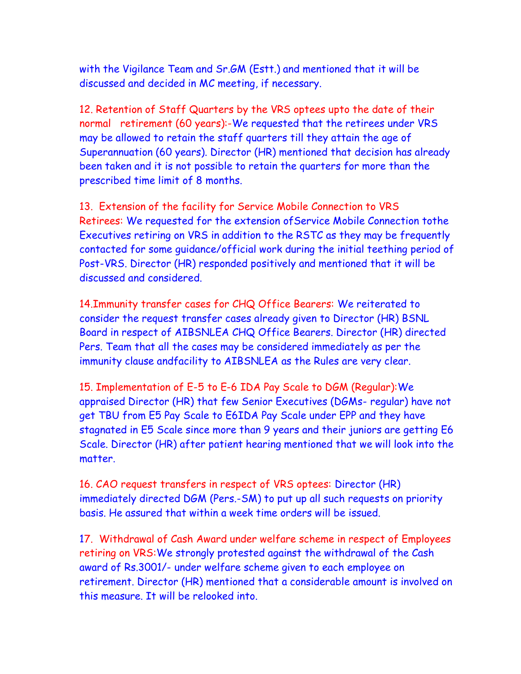with the Vigilance Team and Sr.GM (Estt.) and mentioned that it will be discussed and decided in MC meeting, if necessary.

12. Retention of Staff Quarters by the VRS optees upto the date of their normal retirement (60 years):-We requested that the retirees under VRS may be allowed to retain the staff quarters till they attain the age of Superannuation (60 years). Director (HR) mentioned that decision has already been taken and it is not possible to retain the quarters for more than the prescribed time limit of 8 months.

13. Extension of the facility for Service Mobile Connection to VRS Retirees: We requested for the extension ofService Mobile Connection tothe Executives retiring on VRS in addition to the RSTC as they may be frequently contacted for some guidance/official work during the initial teething period of Post-VRS. Director (HR) responded positively and mentioned that it will be discussed and considered.

14.Immunity transfer cases for CHQ Office Bearers: We reiterated to consider the request transfer cases already given to Director (HR) BSNL Board in respect of AIBSNLEA CHQ Office Bearers. Director (HR) directed Pers. Team that all the cases may be considered immediately as per the immunity clause andfacility to AIBSNLEA as the Rules are very clear.

15. Implementation of E-5 to E-6 IDA Pay Scale to DGM (Regular):We appraised Director (HR) that few Senior Executives (DGMs- regular) have not get TBU from E5 Pay Scale to E6IDA Pay Scale under EPP and they have stagnated in E5 Scale since more than 9 years and their juniors are getting E6 Scale. Director (HR) after patient hearing mentioned that we will look into the matter.

16. CAO request transfers in respect of VRS optees: Director (HR) immediately directed DGM (Pers.-SM) to put up all such requests on priority basis. He assured that within a week time orders will be issued.

17. Withdrawal of Cash Award under welfare scheme in respect of Employees retiring on VRS:We strongly protested against the withdrawal of the Cash award of Rs.3001/- under welfare scheme given to each employee on retirement. Director (HR) mentioned that a considerable amount is involved on this measure. It will be relooked into.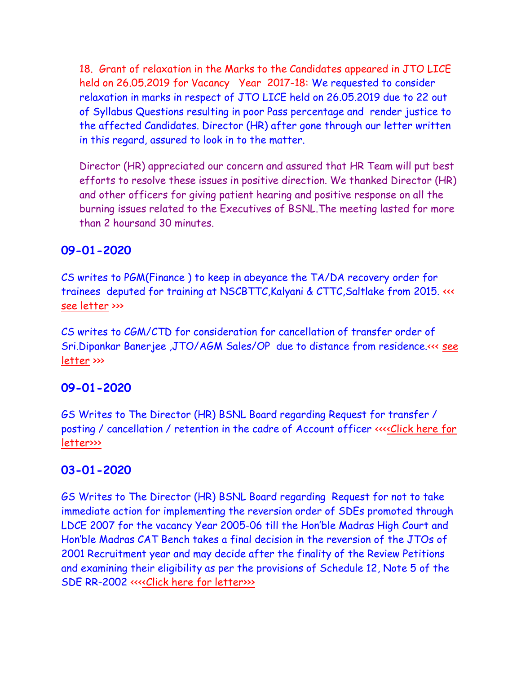18. Grant of relaxation in the Marks to the Candidates appeared in JTO LICE held on 26.05.2019 for Vacancy Year 2017-18: We requested to consider relaxation in marks in respect of JTO LICE held on 26.05.2019 due to 22 out of Syllabus Questions resulting in poor Pass percentage and render justice to the affected Candidates. Director (HR) after gone through our letter written in this regard, assured to look in to the matter.

Director (HR) appreciated our concern and assured that HR Team will put best efforts to resolve these issues in positive direction. We thanked Director (HR) and other officers for giving patient hearing and positive response on all the burning issues related to the Executives of BSNL.The meeting lasted for more than 2 hoursand 30 minutes.

# **09-01-2020**

CS writes to PGM(Finance ) to keep in abeyance the TA/DA recovery order for trainees deputed for training at NSCBTTC,Kalyani & CTTC,Saltlake from 2015. <<< [see letter](PGMF_09012020.pdf) >>>

CS writes to CGM/CTD for consideration for cancellation of transfer order of Sri.Dipankar Banerjee ,JTO/AGM Sales/OP due to distance from residence.<<< [see](CGM_090120.pdf)  [letter](CGM_090120.pdf) >>>

### **09-01-2020**

GS Writes to The Director (HR) BSNL Board regarding Request for transfer / posting / cancellation / retention in the cadre of Account officer <<[<<Click here for](http://www.aibsnleachq.in/Mandatory%20Training.pdf)  [letter>>>](http://www.aibsnleachq.in/DIRHR_200109.pdf)

### **03-01-2020**

GS Writes to The Director (HR) BSNL Board regarding Request for not to take immediate action for implementing the reversion order of SDEs promoted through LDCE 2007 for the vacancy Year 2005-06 till the Hon'ble Madras High Court and Hon'ble Madras CAT Bench takes a final decision in the reversion of the JTOs of 2001 Recruitment year and may decide after the finality of the Review Petitions and examining their eligibility as per the provisions of Schedule 12, Note 5 of the SDE RR-2002 <<[<<Click here for letter>>>](http://www.aibsnleachq.in/Mandatory%20Training.pdf)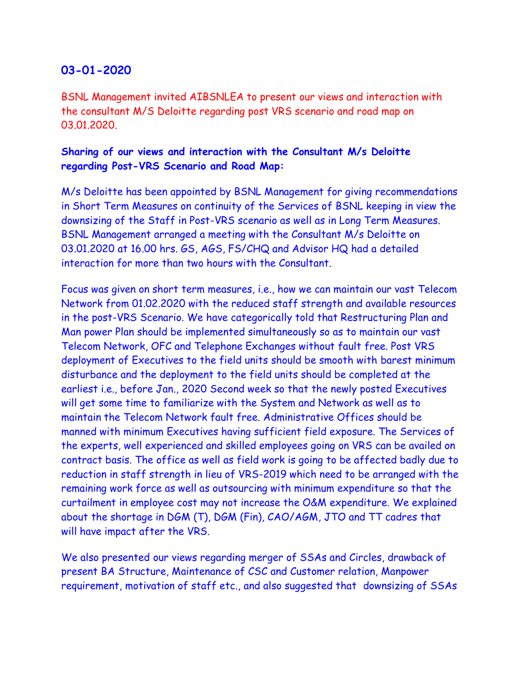### **03-01-2020**

BSNL Management invited AIBSNLEA to present our views and interaction with the consultant M/S Deloitte regarding post VRS scenario and road map on 03.01.2020.

#### **Sharing of our views and interaction with the Consultant M/s Deloitte regarding Post-VRS Scenario and Road Map:**

M/s Deloitte has been appointed by BSNL Management for giving recommendations in Short Term Measures on continuity of the Services of BSNL keeping in view the downsizing of the Staff in Post-VRS scenario as well as in Long Term Measures. BSNL Management arranged a meeting with the Consultant M/s Deloitte on 03.01.2020 at 16.00 hrs. GS, AGS, FS/CHQ and Advisor HQ had a detailed interaction for more than two hours with the Consultant.

Focus was given on short term measures, i.e., how we can maintain our vast Telecom Network from 01.02.2020 with the reduced staff strength and available resources in the post-VRS Scenario. We have categorically told that Restructuring Plan and Man power Plan should be implemented simultaneously so as to maintain our vast Telecom Network, OFC and Telephone Exchanges without fault free. Post VRS deployment of Executives to the field units should be smooth with barest minimum disturbance and the deployment to the field units should be completed at the earliest i.e., before Jan., 2020 Second week so that the newly posted Executives will get some time to familiarize with the System and Network as well as to maintain the Telecom Network fault free. Administrative Offices should be manned with minimum Executives having sufficient field exposure. The Services of the experts, well experienced and skilled employees going on VRS can be availed on contract basis. The office as well as field work is going to be affected badly due to reduction in staff strength in lieu of VRS-2019 which need to be arranged with the remaining work force as well as outsourcing with minimum expenditure so that the curtailment in employee cost may not increase the O&M expenditure. We explained about the shortage in DGM (T), DGM (Fin), CAO/AGM, JTO and TT cadres that will have impact after the VRS.

We also presented our views regarding merger of SSAs and Circles, drawback of present BA Structure, Maintenance of CSC and Customer relation, Manpower requirement, motivation of staff etc., and also suggested that downsizing of SSAs